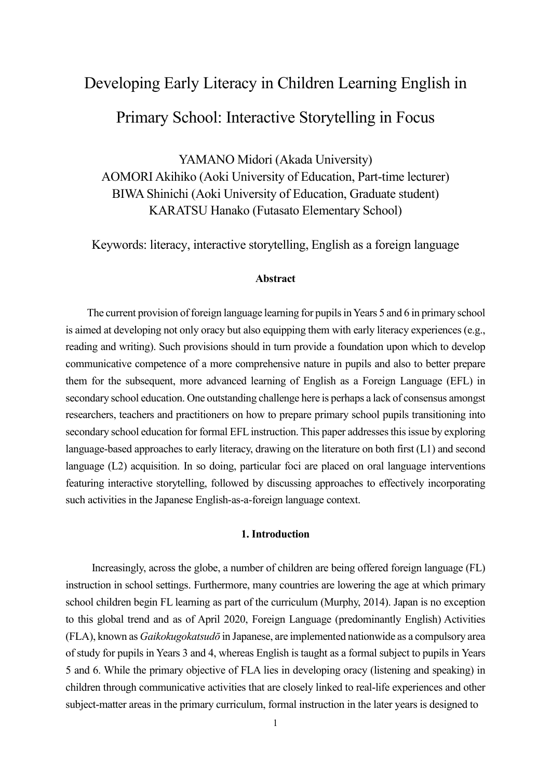# Developing Early Literacy in Children Learning English in

# Primary School: Interactive Storytelling in Focus

YAMANO Midori (Akada University) AOMORI Akihiko (Aoki University of Education, Part-time lecturer) BIWA Shinichi (Aoki University of Education, Graduate student) KARATSU Hanako (Futasato Elementary School)

Keywords: literacy, interactive storytelling, English as a foreign language

#### **Abstract**

The current provision of foreign language learning for pupils in Years 5 and 6 in primary school is aimed at developing not only oracy but also equipping them with early literacy experiences (e.g., reading and writing). Such provisions should in turn provide a foundation upon which to develop communicative competence of a more comprehensive nature in pupils and also to better prepare them for the subsequent, more advanced learning of English as a Foreign Language (EFL) in secondary school education. One outstanding challenge here is perhaps a lack of consensus amongst researchers, teachers and practitioners on how to prepare primary school pupils transitioning into secondary school education for formal EFL instruction. This paper addresses this issue by exploring language-based approaches to early literacy, drawing on the literature on both first (L1) and second language (L2) acquisition. In so doing, particular foci are placed on oral language interventions featuring interactive storytelling, followed by discussing approaches to effectively incorporating such activities in the Japanese English-as-a-foreign language context.

#### **1. Introduction**

Increasingly, across the globe, a number of children are being offered foreign language (FL) instruction in school settings. Furthermore, many countries are lowering the age at which primary school children begin FL learning as part of the curriculum (Murphy, 2014). Japan is no exception to this global trend and as of April 2020, Foreign Language (predominantly English) Activities (FLA), known as *Gaikokugokatsudō* in Japanese, are implemented nationwide as a compulsory area of study for pupils in Years 3 and 4, whereas English is taught as a formal subject to pupils in Years 5 and 6. While the primary objective of FLA lies in developing oracy (listening and speaking) in children through communicative activities that are closely linked to real-life experiences and other subject-matter areas in the primary curriculum, formal instruction in the later years is designed to